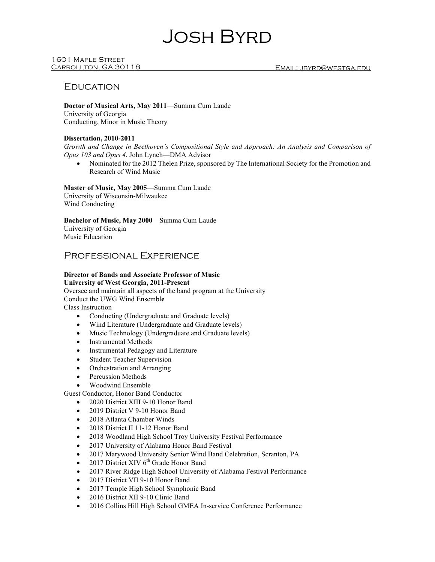# Josh Byrd

## 1601 Maple Street

## **EDUCATION**

**Doctor of Musical Arts, May 2011**—Summa Cum Laude University of Georgia Conducting, Minor in Music Theory

#### **Dissertation, 2010-2011**

*Growth and Change in Beethoven's Compositional Style and Approach: An Analysis and Comparison of Opus 103 and Opus 4*, John Lynch—DMA Advisor

• Nominated for the 2012 Thelen Prize, sponsored by The International Society for the Promotion and Research of Wind Music

**Master of Music, May 2005**—Summa Cum Laude University of Wisconsin-Milwaukee Wind Conducting

**Bachelor of Music, May 2000**—Summa Cum Laude University of Georgia Music Education

## Professional Experience

## **Director of Bands and Associate Professor of Music University of West Georgia, 2011-Present**

Oversee and maintain all aspects of the band program at the University Conduct the UWG Wind Ensembl**e** Class Instruction

- Conducting (Undergraduate and Graduate levels)
- Wind Literature (Undergraduate and Graduate levels)
- Music Technology (Undergraduate and Graduate levels)
- Instrumental Methods
- Instrumental Pedagogy and Literature
- Student Teacher Supervision
- Orchestration and Arranging
- Percussion Methods
- Woodwind Ensemble

Guest Conductor, Honor Band Conductor

- 2020 District XIII 9-10 Honor Band
- 2019 District V 9-10 Honor Band
- 2018 Atlanta Chamber Winds
- 2018 District II 11-12 Honor Band
- 2018 Woodland High School Troy University Festival Performance
- 2017 University of Alabama Honor Band Festival
- 2017 Marywood University Senior Wind Band Celebration, Scranton, PA
- 2017 District XIV  $6<sup>th</sup>$  Grade Honor Band
- 2017 River Ridge High School University of Alabama Festival Performance
- 2017 District VII 9-10 Honor Band
- 2017 Temple High School Symphonic Band
- 2016 District XII 9-10 Clinic Band
- 2016 Collins Hill High School GMEA In-service Conference Performance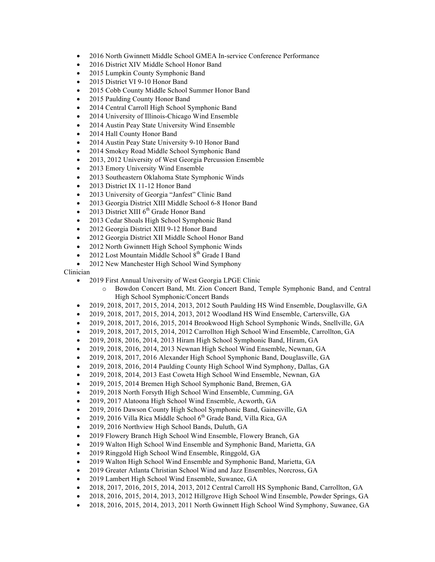- 2016 North Gwinnett Middle School GMEA In-service Conference Performance
- 2016 District XIV Middle School Honor Band
- 2015 Lumpkin County Symphonic Band
- 2015 District VI 9-10 Honor Band
- 2015 Cobb County Middle School Summer Honor Band
- 2015 Paulding County Honor Band
- 2014 Central Carroll High School Symphonic Band
- 2014 University of Illinois-Chicago Wind Ensemble
- 2014 Austin Peay State University Wind Ensemble
- 2014 Hall County Honor Band
- 2014 Austin Peay State University 9-10 Honor Band
- 2014 Smokey Road Middle School Symphonic Band
- 2013, 2012 University of West Georgia Percussion Ensemble
- 2013 Emory University Wind Ensemble
- 2013 Southeastern Oklahoma State Symphonic Winds
- 2013 District IX 11-12 Honor Band
- 2013 University of Georgia "Janfest" Clinic Band
- 2013 Georgia District XIII Middle School 6-8 Honor Band
- 2013 District XIII  $6<sup>th</sup>$  Grade Honor Band
- 2013 Cedar Shoals High School Symphonic Band
- 2012 Georgia District XIII 9-12 Honor Band
- 2012 Georgia District XII Middle School Honor Band
- 2012 North Gwinnett High School Symphonic Winds
- 2012 Lost Mountain Middle School  $8<sup>th</sup>$  Grade I Band
- 2012 New Manchester High School Wind Symphony

## Clinician

- 2019 First Annual University of West Georgia LPGE Clinic
	- o Bowdon Concert Band, Mt. Zion Concert Band, Temple Symphonic Band, and Central High School Symphonic/Concert Bands
- 2019, 2018, 2017, 2015, 2014, 2013, 2012 South Paulding HS Wind Ensemble, Douglasville, GA
- 2019, 2018, 2017, 2015, 2014, 2013, 2012 Woodland HS Wind Ensemble, Cartersville, GA
- 2019, 2018, 2017, 2016, 2015, 2014 Brookwood High School Symphonic Winds, Snellville, GA
- 2019, 2018, 2017, 2015, 2014, 2012 Carrollton High School Wind Ensemble, Carrollton, GA
- 2019, 2018, 2016, 2014, 2013 Hiram High School Symphonic Band, Hiram, GA
- 2019, 2018, 2016, 2014, 2013 Newnan High School Wind Ensemble, Newnan, GA
- 2019, 2018, 2017, 2016 Alexander High School Symphonic Band, Douglasville, GA
- 2019, 2018, 2016, 2014 Paulding County High School Wind Symphony, Dallas, GA
- 2019, 2018, 2014, 2013 East Coweta High School Wind Ensemble, Newnan, GA
- 2019, 2015, 2014 Bremen High School Symphonic Band, Bremen, GA
- 2019, 2018 North Forsyth High School Wind Ensemble, Cumming, GA
- 2019, 2017 Alatoona High School Wind Ensemble, Acworth, GA
- 2019, 2016 Dawson County High School Symphonic Band, Gainesville, GA
- 2019, 2016 Villa Rica Middle School  $6<sup>th</sup>$  Grade Band, Villa Rica, GA
- 2019, 2016 Northview High School Bands, Duluth, GA
- 2019 Flowery Branch High School Wind Ensemble, Flowery Branch, GA
- 2019 Walton High School Wind Ensemble and Symphonic Band, Marietta, GA
- 2019 Ringgold High School Wind Ensemble, Ringgold, GA
- 2019 Walton High School Wind Ensemble and Symphonic Band, Marietta, GA
- 2019 Greater Atlanta Christian School Wind and Jazz Ensembles, Norcross, GA
- 2019 Lambert High School Wind Ensemble, Suwanee, GA
- 2018, 2017, 2016, 2015, 2014, 2013, 2012 Central Carroll HS Symphonic Band, Carrollton, GA
- 2018, 2016, 2015, 2014, 2013, 2012 Hillgrove High School Wind Ensemble, Powder Springs, GA
- 2018, 2016, 2015, 2014, 2013, 2011 North Gwinnett High School Wind Symphony, Suwanee, GA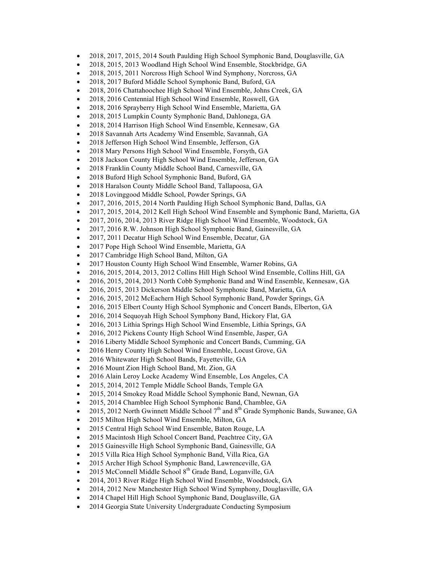- 2018, 2017, 2015, 2014 South Paulding High School Symphonic Band, Douglasville, GA
- 2018, 2015, 2013 Woodland High School Wind Ensemble, Stockbridge, GA
- 2018, 2015, 2011 Norcross High School Wind Symphony, Norcross, GA
- 2018, 2017 Buford Middle School Symphonic Band, Buford, GA
- 2018, 2016 Chattahoochee High School Wind Ensemble, Johns Creek, GA
- 2018, 2016 Centennial High School Wind Ensemble, Roswell, GA
- 2018, 2016 Sprayberry High School Wind Ensemble, Marietta, GA
- 2018, 2015 Lumpkin County Symphonic Band, Dahlonega, GA
- 2018, 2014 Harrison High School Wind Ensemble, Kennesaw, GA
- 2018 Savannah Arts Academy Wind Ensemble, Savannah, GA
- 2018 Jefferson High School Wind Ensemble, Jefferson, GA
- 2018 Mary Persons High School Wind Ensemble, Forsyth, GA
- 2018 Jackson County High School Wind Ensemble, Jefferson, GA
- 2018 Franklin County Middle School Band, Carnesville, GA
- 2018 Buford High School Symphonic Band, Buford, GA
- 2018 Haralson County Middle School Band, Tallapoosa, GA
- 2018 Lovinggood Middle School, Powder Springs, GA
- 2017, 2016, 2015, 2014 North Paulding High School Symphonic Band, Dallas, GA
- 2017, 2015, 2014, 2012 Kell High School Wind Ensemble and Symphonic Band, Marietta, GA
- 2017, 2016, 2014, 2013 River Ridge High School Wind Ensemble, Woodstock, GA
- 2017, 2016 R.W. Johnson High School Symphonic Band, Gainesville, GA
- 2017, 2011 Decatur High School Wind Ensemble, Decatur, GA
- 2017 Pope High School Wind Ensemble, Marietta, GA
- 2017 Cambridge High School Band, Milton, GA
- 2017 Houston County High School Wind Ensemble, Warner Robins, GA
- 2016, 2015, 2014, 2013, 2012 Collins Hill High School Wind Ensemble, Collins Hill, GA
- 2016, 2015, 2014, 2013 North Cobb Symphonic Band and Wind Ensemble, Kennesaw, GA
- 2016, 2015, 2013 Dickerson Middle School Symphonic Band, Marietta, GA
- 2016, 2015, 2012 McEachern High School Symphonic Band, Powder Springs, GA
- 2016, 2015 Elbert County High School Symphonic and Concert Bands, Elberton, GA
- 2016, 2014 Sequoyah High School Symphony Band, Hickory Flat, GA
- 2016, 2013 Lithia Springs High School Wind Ensemble, Lithia Springs, GA
- 2016, 2012 Pickens County High School Wind Ensemble, Jasper, GA
- 2016 Liberty Middle School Symphonic and Concert Bands, Cumming, GA
- 2016 Henry County High School Wind Ensemble, Locust Grove, GA
- 2016 Whitewater High School Bands, Fayetteville, GA
- 2016 Mount Zion High School Band, Mt. Zion, GA
- 2016 Alain Leroy Locke Academy Wind Ensemble, Los Angeles, CA
- 2015, 2014, 2012 Temple Middle School Bands, Temple GA
- 2015, 2014 Smokey Road Middle School Symphonic Band, Newnan, GA
- 2015, 2014 Chamblee High School Symphonic Band, Chamblee, GA
- 2015, 2012 North Gwinnett Middle School  $7<sup>th</sup>$  and  $8<sup>th</sup>$  Grade Symphonic Bands, Suwanee, GA
- 2015 Milton High School Wind Ensemble, Milton, GA
- 2015 Central High School Wind Ensemble, Baton Rouge, LA
- 2015 Macintosh High School Concert Band, Peachtree City, GA
- 2015 Gainesville High School Symphonic Band, Gainesville, GA
- 2015 Villa Rica High School Symphonic Band, Villa Rica, GA
- 2015 Archer High School Symphonic Band, Lawrenceville, GA
- 2015 McConnell Middle School  $8<sup>th</sup>$  Grade Band, Loganville, GA
- 2014, 2013 River Ridge High School Wind Ensemble, Woodstock, GA
- 2014, 2012 New Manchester High School Wind Symphony, Douglasville, GA
- 2014 Chapel Hill High School Symphonic Band, Douglasville, GA
- 2014 Georgia State University Undergraduate Conducting Symposium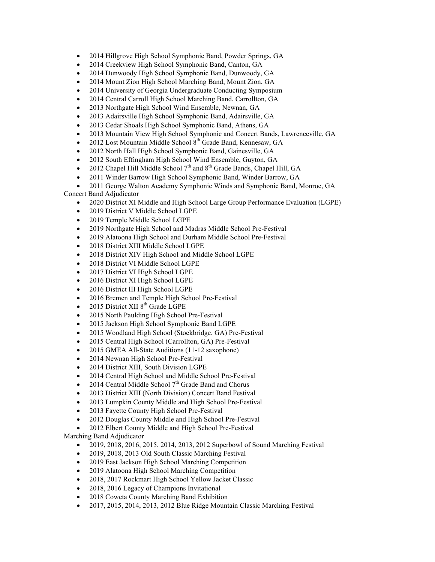- 2014 Hillgrove High School Symphonic Band, Powder Springs, GA
- 2014 Creekview High School Symphonic Band, Canton, GA
- 2014 Dunwoody High School Symphonic Band, Dunwoody, GA
- 2014 Mount Zion High School Marching Band, Mount Zion, GA
- 2014 University of Georgia Undergraduate Conducting Symposium
- 2014 Central Carroll High School Marching Band, Carrollton, GA
- 2013 Northgate High School Wind Ensemble, Newnan, GA
- 2013 Adairsville High School Symphonic Band, Adairsville, GA
- 2013 Cedar Shoals High School Symphonic Band, Athens, GA
- 2013 Mountain View High School Symphonic and Concert Bands, Lawrenceville, GA
- 2012 Lost Mountain Middle School 8<sup>th</sup> Grade Band, Kennesaw, GA
- 2012 North Hall High School Symphonic Band, Gainesville, GA
- 2012 South Effingham High School Wind Ensemble, Guyton, GA
- 2012 Chapel Hill Middle School  $7<sup>th</sup>$  and  $8<sup>th</sup>$  Grade Bands, Chapel Hill, GA
- 2011 Winder Barrow High School Symphonic Band, Winder Barrow, GA
- 2011 George Walton Academy Symphonic Winds and Symphonic Band, Monroe, GA

Concert Band Adjudicator

- 2020 District XI Middle and High School Large Group Performance Evaluation (LGPE)
- 2019 District V Middle School LGPE
- 2019 Temple Middle School LGPE
- 2019 Northgate High School and Madras Middle School Pre-Festival
- 2019 Alatoona High School and Durham Middle School Pre-Festival
- 2018 District XIII Middle School LGPE
- 2018 District XIV High School and Middle School LGPE
- 2018 District VI Middle School LGPE
- 2017 District VI High School LGPE
- 2016 District XI High School LGPE
- 2016 District III High School LGPE
- 2016 Bremen and Temple High School Pre-Festival
- 2015 District XII  $8<sup>th</sup>$  Grade LGPE
- 2015 North Paulding High School Pre-Festival
- 2015 Jackson High School Symphonic Band LGPE
- 2015 Woodland High School (Stockbridge, GA) Pre-Festival
- 2015 Central High School (Carrollton, GA) Pre-Festival
- 2015 GMEA All-State Auditions (11-12 saxophone)
- 2014 Newnan High School Pre-Festival
- 2014 District XIII, South Division LGPE
- 2014 Central High School and Middle School Pre-Festival
- 2014 Central Middle School  $7<sup>th</sup>$  Grade Band and Chorus
- 2013 District XIII (North Division) Concert Band Festival
- 2013 Lumpkin County Middle and High School Pre-Festival
- 2013 Fayette County High School Pre-Festival
- 2012 Douglas County Middle and High School Pre-Festival
- 2012 Elbert County Middle and High School Pre-Festival

Marching Band Adjudicator

- 2019, 2018, 2016, 2015, 2014, 2013, 2012 Superbowl of Sound Marching Festival
- 2019, 2018, 2013 Old South Classic Marching Festival
- 2019 East Jackson High School Marching Competition
- 2019 Alatoona High School Marching Competition
- 2018, 2017 Rockmart High School Yellow Jacket Classic
- 2018, 2016 Legacy of Champions Invitational
- 2018 Coweta County Marching Band Exhibition
- 2017, 2015, 2014, 2013, 2012 Blue Ridge Mountain Classic Marching Festival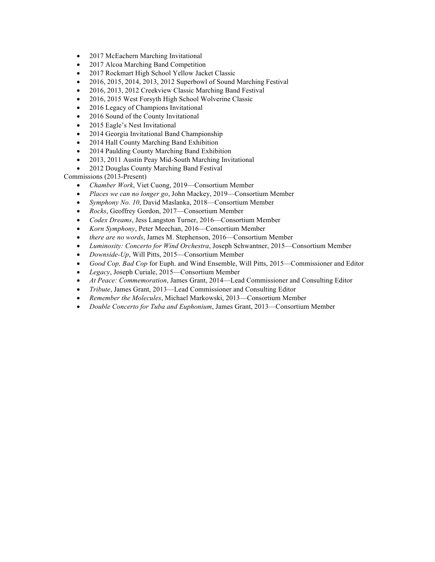- 2017 McEachern Marching Invitational
- 2017 Alcoa Marching Band Competition
- 2017 Rockmart High School Yellow Jacket Classic
- 2016, 2015, 2014, 2013, 2012 Superbowl of Sound Marching Festival
- 2016, 2013, 2012 Creekview Classic Marching Band Festival
- 2016, 2015 West Forsyth High School Wolverine Classic
- 2016 Legacy of Champions Invitational
- 2016 Sound of the County Invitational
- 2015 Eagle's Nest Invitational
- 2014 Georgia Invitational Band Championship
- 2014 Hall County Marching Band Exhibition
- 2014 Paulding County Marching Band Exhibition
- 2013, 2011 Austin Peay Mid-South Marching Invitational
- 2012 Douglas County Marching Band Festival

Commissions (2013-Present)

- *Chamber Work*, Viet Cuong, 2019—Consortium Member
- *Places we can no longer go*, John Mackey, 2019—Consortium Member
- *Symphony No. 10*, David Maslanka, 2018—Consortium Member
- *Rocks*, Geoffrey Gordon, 2017—Consortium Member
- *Codex Dreams*, Jess Langston Turner, 2016—Consortium Member
- *Korn Symphony*, Peter Meechan, 2016—Consortium Member
- *there are no words*, James M. Stephenson, 2016—Consortium Member
- *Luminosity: Concerto for Wind Orchestra*, Joseph Schwantner, 2015—Consortium Member
- *Downside-Up*, Will Pitts, 2015—Consortium Member
- *Good Cop, Bad Cop* for Euph. and Wind Ensemble, Will Pitts, 2015—Commissioner and Editor
- *Legacy*, Joseph Curiale, 2015—Consortium Member
- *At Peace: Commemoration*, James Grant, 2014—Lead Commissioner and Consulting Editor
- *Tribute*, James Grant, 2013—Lead Commissioner and Consulting Editor
- *Remember the Molecules*, Michael Markowski, 2013—Consortium Member
- *Double Concerto for Tuba and Euphonium*, James Grant, 2013—Consortium Member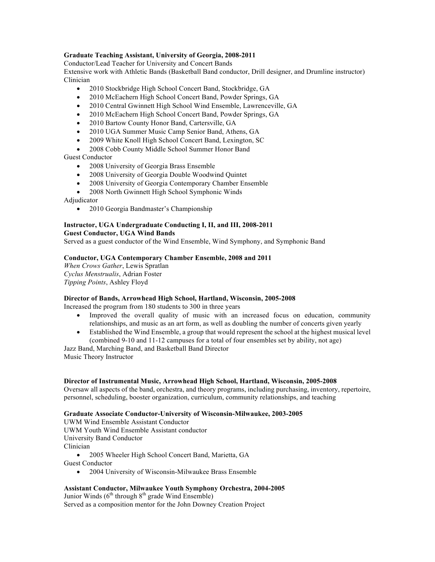## **Graduate Teaching Assistant, University of Georgia, 2008-2011**

Conductor/Lead Teacher for University and Concert Bands

Extensive work with Athletic Bands (Basketball Band conductor, Drill designer, and Drumline instructor) Clinician

- 2010 Stockbridge High School Concert Band, Stockbridge, GA
- 2010 McEachern High School Concert Band, Powder Springs, GA
- 2010 Central Gwinnett High School Wind Ensemble, Lawrenceville, GA
- 2010 McEachern High School Concert Band, Powder Springs, GA
- 2010 Bartow County Honor Band, Cartersville, GA
- 2010 UGA Summer Music Camp Senior Band, Athens, GA
- 2009 White Knoll High School Concert Band, Lexington, SC
- 2008 Cobb County Middle School Summer Honor Band

## Guest Conductor

- 2008 University of Georgia Brass Ensemble
- 2008 University of Georgia Double Woodwind Quintet
- 2008 University of Georgia Contemporary Chamber Ensemble
- 2008 North Gwinnett High School Symphonic Winds

Adjudicator

• 2010 Georgia Bandmaster's Championship

#### **Instructor, UGA Undergraduate Conducting I, II, and III, 2008-2011 Guest Conductor, UGA Wind Bands**

Served as a guest conductor of the Wind Ensemble, Wind Symphony, and Symphonic Band

## **Conductor, UGA Contemporary Chamber Ensemble, 2008 and 2011**

*When Crows Gather*, Lewis Spratlan *Cyclus Menstrualis*, Adrian Foster *Tipping Points*, Ashley Floyd

## **Director of Bands, Arrowhead High School, Hartland, Wisconsin, 2005-2008**

Increased the program from 180 students to 300 in three years

- Improved the overall quality of music with an increased focus on education, community relationships, and music as an art form, as well as doubling the number of concerts given yearly
- Established the Wind Ensemble, a group that would represent the school at the highest musical level (combined 9-10 and 11-12 campuses for a total of four ensembles set by ability, not age)

Jazz Band, Marching Band, and Basketball Band Director Music Theory Instructor

## **Director of Instrumental Music, Arrowhead High School, Hartland, Wisconsin, 2005-2008**

Oversaw all aspects of the band, orchestra, and theory programs, including purchasing, inventory, repertoire, personnel, scheduling, booster organization, curriculum, community relationships, and teaching

## **Graduate Associate Conductor-University of Wisconsin-Milwaukee, 2003-2005**

UWM Wind Ensemble Assistant Conductor UWM Youth Wind Ensemble Assistant conductor University Band Conductor Clinician

• 2005 Wheeler High School Concert Band, Marietta, GA Guest Conductor

• 2004 University of Wisconsin-Milwaukee Brass Ensemble

## **Assistant Conductor, Milwaukee Youth Symphony Orchestra, 2004-2005**

Junior Winds  $(6<sup>th</sup>$  through  $8<sup>th</sup>$  grade Wind Ensemble) Served as a composition mentor for the John Downey Creation Project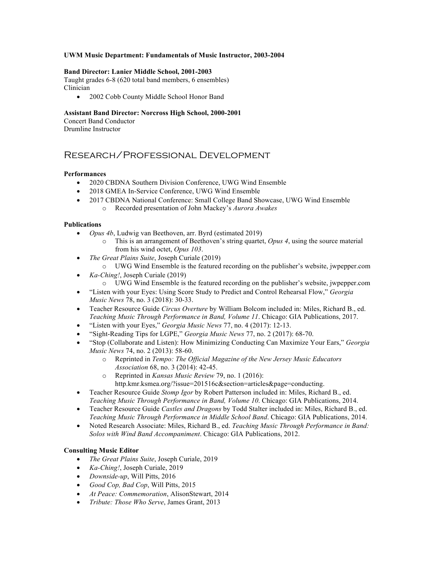## **UWM Music Department: Fundamentals of Music Instructor, 2003-2004**

#### **Band Director: Lanier Middle School, 2001-2003**

Taught grades 6-8 (620 total band members, 6 ensembles) Clinician

• 2002 Cobb County Middle School Honor Band

## **Assistant Band Director: Norcross High School, 2000-2001**

Concert Band Conductor Drumline Instructor

## Research/Professional Development

#### **Performances**

- 2020 CBDNA Southern Division Conference, UWG Wind Ensemble
- 2018 GMEA In-Service Conference, UWG Wind Ensemble
- 2017 CBDNA National Conference: Small College Band Showcase, UWG Wind Ensemble o Recorded presentation of John Mackey's *Aurora Awakes*

#### **Publications**

- *Opus 4b*, Ludwig van Beethoven, arr. Byrd (estimated 2019)
	- o This is an arrangement of Beethoven's string quartet, *Opus 4*, using the source material from his wind octet, *Opus 103*.
- *The Great Plains Suite*, Joseph Curiale (2019)
- o UWG Wind Ensemble is the featured recording on the publisher's website, jwpepper.com • *Ka-Ching!*, Joseph Curiale (2019)
	- o UWG Wind Ensemble is the featured recording on the publisher's website, jwpepper.com
- "Listen with your Eyes: Using Score Study to Predict and Control Rehearsal Flow," *Georgia Music News* 78, no. 3 (2018): 30-33.
- Teacher Resource Guide *Circus Overture* by William Bolcom included in: Miles, Richard B., ed. *Teaching Music Through Performance in Band, Volume 11*. Chicago: GIA Publications, 2017.
- "Listen with your Eyes," *Georgia Music News* 77, no. 4 (2017): 12-13.
- "Sight-Reading Tips for LGPE," *Georgia Music News* 77, no. 2 (2017): 68-70.
- "Stop (Collaborate and Listen): How Minimizing Conducting Can Maximize Your Ears," *Georgia Music News* 74, no. 2 (2013): 58-60.
	- o Reprinted in *Tempo: The Official Magazine of the New Jersey Music Educators Association* 68, no. 3 (2014): 42-45.
	- o Reprinted in *Kansas Music Review* 79, no. 1 (2016): http.kmr.ksmea.org/?issue=201516c&section=articles&page=conducting.
- Teacher Resource Guide *Stomp Igor* by Robert Patterson included in: Miles, Richard B., ed. *Teaching Music Through Performance in Band, Volume 10*. Chicago: GIA Publications, 2014.
- Teacher Resource Guide *Castles and Dragons* by Todd Stalter included in: Miles, Richard B., ed. *Teaching Music Through Performance in Middle School Band*. Chicago: GIA Publications, 2014.
- Noted Research Associate: Miles, Richard B., ed. *Teaching Music Through Performance in Band: Solos with Wind Band Accompaniment*. Chicago: GIA Publications, 2012.

## **Consulting Music Editor**

- *The Great Plains Suite*, Joseph Curiale, 2019
- *Ka-Ching!*, Joseph Curiale, 2019
- *Downside-up*, Will Pitts, 2016
- *Good Cop, Bad Cop*, Will Pitts, 2015
- *At Peace: Commemoration*, AlisonStewart, 2014
- *Tribute: Those Who Serve*, James Grant, 2013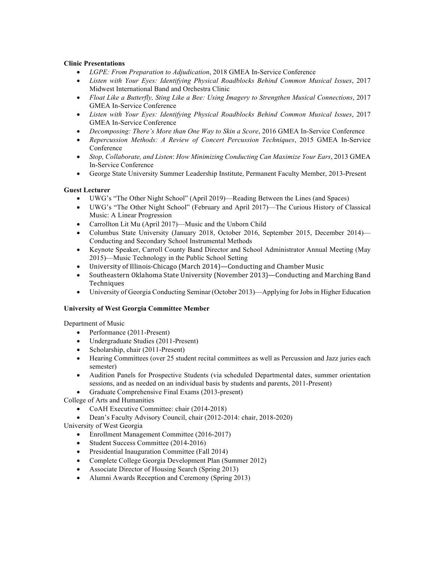## **Clinic Presentations**

- *LGPE: From Preparation to Adjudication*, 2018 GMEA In-Service Conference
- *Listen with Your Eyes: Identifying Physical Roadblocks Behind Common Musical Issues*, 2017 Midwest International Band and Orchestra Clinic
- *Float Like a Butterfly, Sting Like a Bee: Using Imagery to Strengthen Musical Connections*, 2017 GMEA In-Service Conference
- *Listen with Your Eyes: Identifying Physical Roadblocks Behind Common Musical Issues*, 2017 GMEA In-Service Conference
- *Decomposing: There's More than One Way to Skin a Score*, 2016 GMEA In-Service Conference
- *Repercussion Methods: A Review of Concert Percussion Techniques*, 2015 GMEA In-Service Conference
- *Stop, Collaborate, and Listen*: *How Minimizing Conducting Can Maximize Your Ears*, 2013 GMEA In-Service Conference
- George State University Summer Leadership Institute, Permanent Faculty Member, 2013-Present

## **Guest Lecturer**

- UWG's "The Other Night School" (April 2019)—Reading Between the Lines (and Spaces)
- UWG's "The Other Night School" (February and April 2017)—The Curious History of Classical Music: A Linear Progression
- Carrollton Lit Mu (April 2017)—Music and the Unborn Child
- Columbus State University (January 2018, October 2016, September 2015, December 2014)— Conducting and Secondary School Instrumental Methods
- Keynote Speaker, Carroll County Band Director and School Administrator Annual Meeting (May 2015)—Music Technology in the Public School Setting
- University of Illinois-Chicago (March 2014)—Conducting and Chamber Music
- Southeastern Oklahoma State University (November 2013)—Conducting and Marching Band Techniques
- University of Georgia Conducting Seminar (October 2013)—Applying for Jobs in Higher Education

## **University of West Georgia Committee Member**

Department of Music

- Performance (2011-Present)
- Undergraduate Studies (2011-Present)
- Scholarship, chair (2011-Present)
- Hearing Committees (over 25 student recital committees as well as Percussion and Jazz juries each semester)
- Audition Panels for Prospective Students (via scheduled Departmental dates, summer orientation sessions, and as needed on an individual basis by students and parents, 2011-Present)
- Graduate Comprehensive Final Exams (2013-present)

College of Arts and Humanities

- CoAH Executive Committee: chair (2014-2018)
- Dean's Faculty Advisory Council, chair (2012-2014: chair, 2018-2020)

University of West Georgia

- Enrollment Management Committee (2016-2017)
- Student Success Committee (2014-2016)
- Presidential Inauguration Committee (Fall 2014)
- Complete College Georgia Development Plan (Summer 2012)
- Associate Director of Housing Search (Spring 2013)
- Alumni Awards Reception and Ceremony (Spring 2013)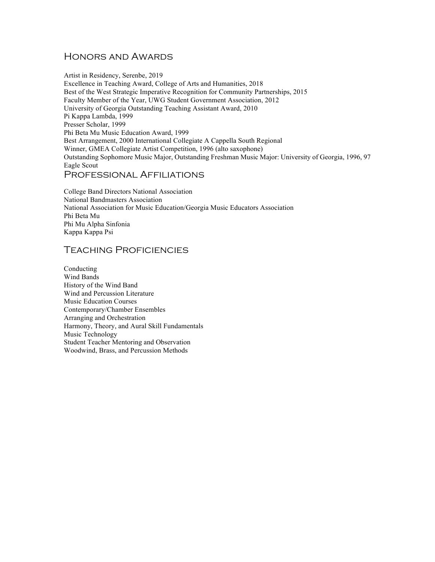## Honors and Awards

Artist in Residency, Serenbe, 2019 Excellence in Teaching Award, College of Arts and Humanities, 2018 Best of the West Strategic Imperative Recognition for Community Partnerships, 2015 Faculty Member of the Year, UWG Student Government Association, 2012 University of Georgia Outstanding Teaching Assistant Award, 2010 Pi Kappa Lambda, 1999 Presser Scholar, 1999 Phi Beta Mu Music Education Award, 1999 Best Arrangement, 2000 International Collegiate A Cappella South Regional Winner, GMEA Collegiate Artist Competition, 1996 (alto saxophone) Outstanding Sophomore Music Major, Outstanding Freshman Music Major: University of Georgia, 1996, 97 Eagle Scout Professional Affiliations

College Band Directors National Association National Bandmasters Association National Association for Music Education/Georgia Music Educators Association Phi Beta Mu Phi Mu Alpha Sinfonia Kappa Kappa Psi

## Teaching Proficiencies

Conducting Wind Bands History of the Wind Band Wind and Percussion Literature Music Education Courses Contemporary/Chamber Ensembles Arranging and Orchestration Harmony, Theory, and Aural Skill Fundamentals Music Technology Student Teacher Mentoring and Observation Woodwind, Brass, and Percussion Methods